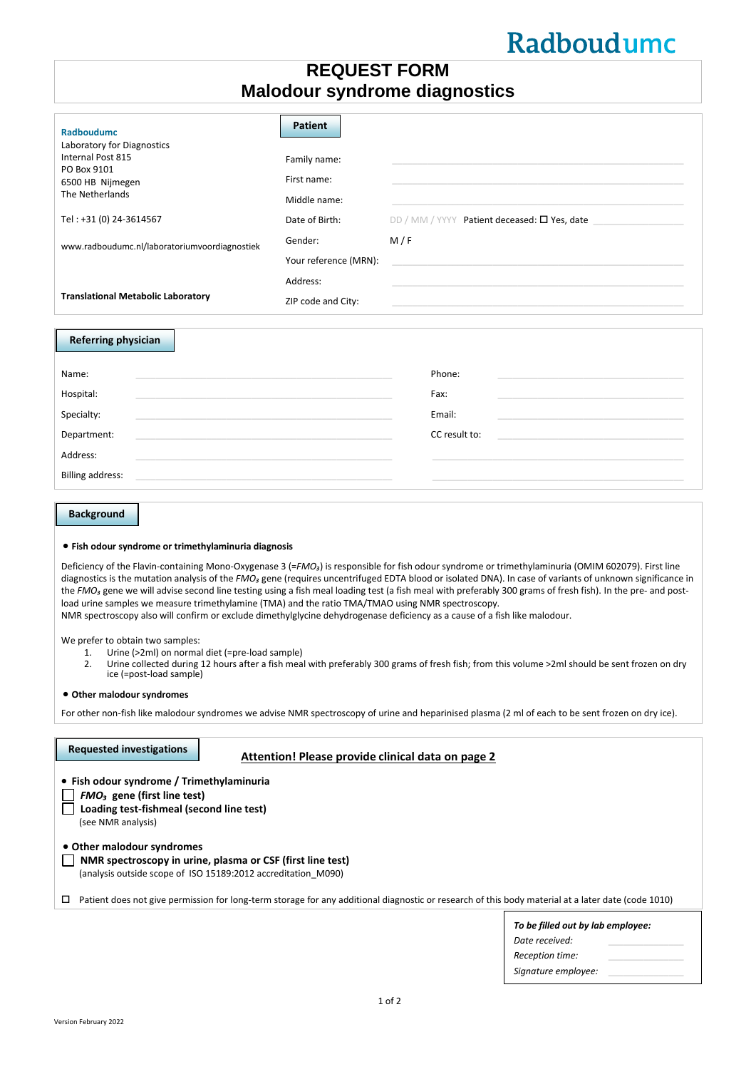# Radboudumc

# **REQUEST FORM Malodour syndrome diagnostics**

| Radboudumc<br>Laboratory for Diagnostics<br>Internal Post 815<br>PO Box 9101<br>6500 HB Nijmegen<br>The Netherlands<br>Tel: +31 (0) 24-3614567                                                                                               | <b>Patient</b><br>Family name:<br>First name:<br>Middle name:<br>Date of Birth: | DD / MM / YYYY Patient deceased: $\square$ Yes, date                                                             |
|----------------------------------------------------------------------------------------------------------------------------------------------------------------------------------------------------------------------------------------------|---------------------------------------------------------------------------------|------------------------------------------------------------------------------------------------------------------|
| www.radboudumc.nl/laboratoriumvoordiagnostiek                                                                                                                                                                                                | Gender:                                                                         | M/F                                                                                                              |
|                                                                                                                                                                                                                                              | Your reference (MRN):                                                           |                                                                                                                  |
|                                                                                                                                                                                                                                              | Address:                                                                        |                                                                                                                  |
| <b>Translational Metabolic Laboratory</b>                                                                                                                                                                                                    | ZIP code and City:                                                              | and the control of the control of the control of the control of the control of the control of the control of the |
| <b>Referring physician</b>                                                                                                                                                                                                                   |                                                                                 |                                                                                                                  |
| Name:                                                                                                                                                                                                                                        |                                                                                 | Phone:                                                                                                           |
| Hospital:<br>the control of the control of the control of the control of the control of the control of the control of the control of the control of the control of the control of the control of the control of the control of the control   |                                                                                 | Fax:                                                                                                             |
| Specialty:                                                                                                                                                                                                                                   |                                                                                 | Email:                                                                                                           |
| Department:<br>the control of the control of the control of the control of the control of the control of the control of the control of the control of the control of the control of the control of the control of the control of the control |                                                                                 | CC result to:<br><u> 1980 - Andrea Andrew Maria (h. 1980).</u>                                                   |
| Address:<br>and the control of the control of the control of the control of the control of the control of the control of the                                                                                                                 |                                                                                 |                                                                                                                  |
| <b>Billing address:</b>                                                                                                                                                                                                                      |                                                                                 |                                                                                                                  |

## **Background**

#### • **Fish odour syndrome or trimethylaminuria diagnosis**

Deficiency of the Flavin-containing Mono-Oxygenase 3 (=FMO<sub>3</sub>) is responsible for fish odour syndrome or trimethylaminuria (OMIM 602079). First line diagnostics is the mutation analysis of the *FMO*<sub>2</sub> gene (requires uncentrifuged EDTA blood or isolated DNA). In case of variants of unknown significance in the FMO<sub><sup>3</sub></sup> gene we will advise second line testing using a fish meal loading test (a fish meal with preferably 300 grams of fresh fish). In the pre- and post-</sub> load urine samples we measure trimethylamine (TMA) and the ratio TMA/TMAO using NMR spectroscopy. NMR spectroscopy also will confirm or exclude dimethylglycine dehydrogenase deficiency as a cause of a fish like malodour.

We prefer to obtain two samples:

- 1. Urine (>2ml) on normal diet (=pre-load sample)<br>2. Urine collected during 12 hours after a fish mea
- Urine collected during 12 hours after a fish meal with preferably 300 grams of fresh fish; from this volume >2ml should be sent frozen on dry ice (=post-load sample)

• **Other malodour syndromes**

For other non-fish like malodour syndromes we advise NMR spectroscopy of urine and heparinised plasma (2 ml of each to be sent frozen on dry ice).

| <b>Requested investigations</b>                                                                                                              | Attention! Please provide clinical data on page 2                                                                                                                                                                                                                                 |                                                     |
|----------------------------------------------------------------------------------------------------------------------------------------------|-----------------------------------------------------------------------------------------------------------------------------------------------------------------------------------------------------------------------------------------------------------------------------------|-----------------------------------------------------|
| • Fish odour syndrome / Trimethylaminuria<br>$FMO3$ gene (first line test)<br>Loading test-fishmeal (second line test)<br>(see NMR analysis) |                                                                                                                                                                                                                                                                                   |                                                     |
| • Other malodour syndromes<br>□                                                                                                              | NMR spectroscopy in urine, plasma or CSF (first line test)<br>(analysis outside scope of ISO 15189:2012 accreditation M090)<br>Patient does not give permission for long-term storage for any additional diagnostic or research of this body material at a later date (code 1010) |                                                     |
|                                                                                                                                              |                                                                                                                                                                                                                                                                                   | To be filled out by lab employee:<br>Date received: |

*Reception time:* \_\_\_\_\_\_\_\_\_\_\_\_\_\_\_ *Signature employee:* \_\_\_\_\_\_\_\_\_\_\_\_\_\_\_